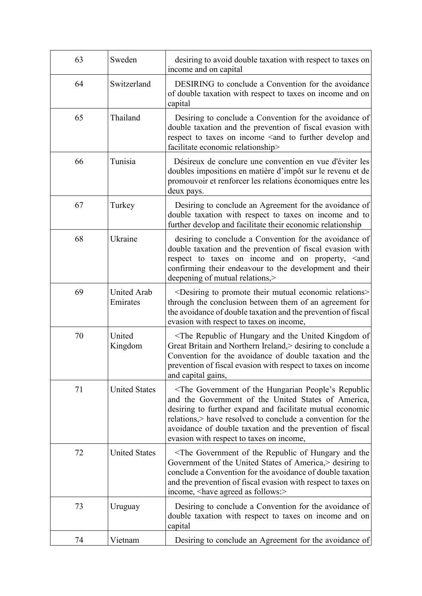| 63 | Sweden                         | desiring to avoid double taxation with respect to taxes on<br>income and on capital                                                                                                                                                                                                                                                         |
|----|--------------------------------|---------------------------------------------------------------------------------------------------------------------------------------------------------------------------------------------------------------------------------------------------------------------------------------------------------------------------------------------|
| 64 | Switzerland                    | DESIRING to conclude a Convention for the avoidance<br>of double taxation with respect to taxes on income and on<br>capital                                                                                                                                                                                                                 |
| 65 | Thailand                       | Desiring to conclude a Convention for the avoidance of<br>double taxation and the prevention of fiscal evasion with<br>respect to taxes on income <and and<br="" develop="" further="" to="">facilitate economic relationship&gt;</and>                                                                                                     |
| 66 | Tunisia                        | Désireux de conclure une convention en vue d'éviter les<br>doubles impositions en matière d'impôt sur le revenu et de<br>promouvoir et renforcer les relations économiques entre les<br>deux pays.                                                                                                                                          |
| 67 | Turkey                         | Desiring to conclude an Agreement for the avoidance of<br>double taxation with respect to taxes on income and to<br>further develop and facilitate their economic relationship                                                                                                                                                              |
| 68 | Ukraine                        | desiring to conclude a Convention for the avoidance of<br>double taxation and the prevention of fiscal evasion with<br>respect to taxes on income and on property, <and<br>confirming their endeavour to the development and their<br/>deepening of mutual relations,&gt;</and<br>                                                          |
| 69 | <b>United Arab</b><br>Emirates | <desiring economic="" mutual="" promote="" relations="" their="" to=""><br/>through the conclusion between them of an agreement for<br/>the avoidance of double taxation and the prevention of fiscal<br/>evasion with respect to taxes on income,</desiring>                                                                               |
| 70 | United<br>Kingdom              | <the and="" hungary="" kingdom="" of="" of<br="" republic="" the="" united="">Great Britain and Northern Ireland, Sesiring to conclude a<br/>Convention for the avoidance of double taxation and the<br/>prevention of fiscal evasion with respect to taxes on income<br/>and capital gains,</the>                                          |
| 71 | <b>United States</b>           | The Government of the Hungarian People's Republic<br>and the Government of the United States of America,<br>desiring to further expand and facilitate mutual economic<br>relations, have resolved to conclude a convention for the<br>avoidance of double taxation and the prevention of fiscal<br>evasion with respect to taxes on income, |
| 72 | <b>United States</b>           | The Government of the Republic of Hungary and the<br>Government of the United States of America, Sesiring to<br>conclude a Convention for the avoidance of double taxation<br>and the prevention of fiscal evasion with respect to taxes on<br>income, <have agreed="" as="" follows:=""></have>                                            |
| 73 | Uruguay                        | Desiring to conclude a Convention for the avoidance of<br>double taxation with respect to taxes on income and on<br>capital                                                                                                                                                                                                                 |
| 74 | Vietnam                        | Desiring to conclude an Agreement for the avoidance of                                                                                                                                                                                                                                                                                      |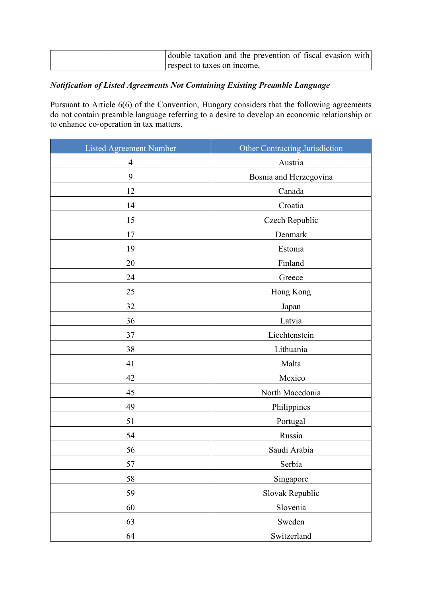|  | double taxation and the prevention of fiscal evasion with |
|--|-----------------------------------------------------------|
|  | respect to taxes on income.                               |

# *Notification of Listed Agreements Not Containing Existing Preamble Language*

Pursuant to Article 6(6) of the Convention, Hungary considers that the following agreements do not contain preamble language referring to a desire to develop an economic relationship or to enhance co-operation in tax matters.

| <b>Listed Agreement Number</b> | <b>Other Contracting Jurisdiction</b> |
|--------------------------------|---------------------------------------|
| $\overline{4}$                 | Austria                               |
| 9                              | Bosnia and Herzegovina                |
| 12                             | Canada                                |
| 14                             | Croatia                               |
| 15                             | Czech Republic                        |
| 17                             | Denmark                               |
| 19                             | Estonia                               |
| 20                             | Finland                               |
| 24                             | Greece                                |
| 25                             | Hong Kong                             |
| 32                             | Japan                                 |
| 36                             | Latvia                                |
| 37                             | Liechtenstein                         |
| 38                             | Lithuania                             |
| 41                             | Malta                                 |
| 42                             | Mexico                                |
| 45                             | North Macedonia                       |
| 49                             | Philippines                           |
| 51                             | Portugal                              |
| 54                             | Russia                                |
| 56                             | Saudi Arabia                          |
| 57                             | Serbia                                |
| 58                             | Singapore                             |
| 59                             | Slovak Republic                       |
| 60                             | Slovenia                              |
| 63                             | Sweden                                |
| 64                             | Switzerland                           |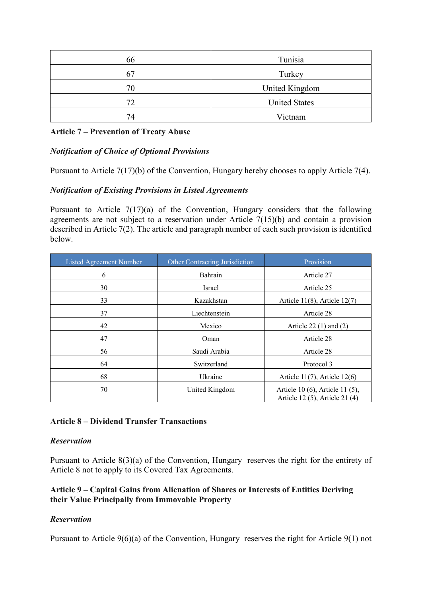| 66 | Tunisia              |
|----|----------------------|
| 67 | Turkey               |
| 70 | United Kingdom       |
| 72 | <b>United States</b> |
| 74 | Vietnam              |

## **Article 7 – Prevention of Treaty Abuse**

## *Notification of Choice of Optional Provisions*

Pursuant to Article 7(17)(b) of the Convention, Hungary hereby chooses to apply Article 7(4).

### *Notification of Existing Provisions in Listed Agreements*

Pursuant to Article 7(17)(a) of the Convention, Hungary considers that the following agreements are not subject to a reservation under Article 7(15)(b) and contain a provision described in Article 7(2). The article and paragraph number of each such provision is identified below.

| Listed Agreement Number | Other Contracting Jurisdiction | Provision                                                         |
|-------------------------|--------------------------------|-------------------------------------------------------------------|
| 6                       | Bahrain                        | Article 27                                                        |
| 30                      | Israel                         | Article 25                                                        |
| 33                      | Kazakhstan                     | Article $11(8)$ , Article $12(7)$                                 |
| 37                      | Liechtenstein                  | Article 28                                                        |
| 42                      | Mexico                         | Article 22 $(1)$ and $(2)$                                        |
| 47                      | Oman                           | Article 28                                                        |
| 56                      | Saudi Arabia                   | Article 28                                                        |
| 64                      | Switzerland                    | Protocol 3                                                        |
| 68                      | Ukraine                        | Article $11(7)$ , Article $12(6)$                                 |
| 70                      | United Kingdom                 | Article 10 (6), Article 11 (5),<br>Article 12 (5), Article 21 (4) |

#### **Article 8 – Dividend Transfer Transactions**

#### *Reservation*

Pursuant to Article 8(3)(a) of the Convention, Hungary reserves the right for the entirety of Article 8 not to apply to its Covered Tax Agreements.

### **Article 9 – Capital Gains from Alienation of Shares or Interests of Entities Deriving their Value Principally from Immovable Property**

## *Reservation*

Pursuant to Article 9(6)(a) of the Convention, Hungary reserves the right for Article 9(1) not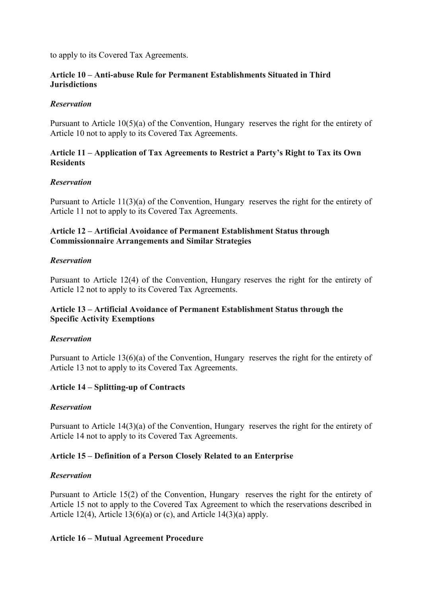to apply to its Covered Tax Agreements.

## **Article 10 – Anti-abuse Rule for Permanent Establishments Situated in Third Jurisdictions**

## *Reservation*

Pursuant to Article 10(5)(a) of the Convention, Hungary reserves the right for the entirety of Article 10 not to apply to its Covered Tax Agreements.

## **Article 11 – Application of Tax Agreements to Restrict a Party's Right to Tax its Own Residents**

## *Reservation*

Pursuant to Article 11(3)(a) of the Convention, Hungary reserves the right for the entirety of Article 11 not to apply to its Covered Tax Agreements.

## **Article 12 – Artificial Avoidance of Permanent Establishment Status through Commissionnaire Arrangements and Similar Strategies**

## *Reservation*

Pursuant to Article 12(4) of the Convention, Hungary reserves the right for the entirety of Article 12 not to apply to its Covered Tax Agreements.

## **Article 13 – Artificial Avoidance of Permanent Establishment Status through the Specific Activity Exemptions**

## *Reservation*

Pursuant to Article 13(6)(a) of the Convention, Hungary reserves the right for the entirety of Article 13 not to apply to its Covered Tax Agreements.

## **Article 14 – Splitting-up of Contracts**

## *Reservation*

Pursuant to Article 14(3)(a) of the Convention, Hungary reserves the right for the entirety of Article 14 not to apply to its Covered Tax Agreements.

## **Article 15 – Definition of a Person Closely Related to an Enterprise**

## *Reservation*

Pursuant to Article 15(2) of the Convention, Hungary reserves the right for the entirety of Article 15 not to apply to the Covered Tax Agreement to which the reservations described in Article 12(4), Article 13(6)(a) or (c), and Article 14(3)(a) apply.

## **Article 16 – Mutual Agreement Procedure**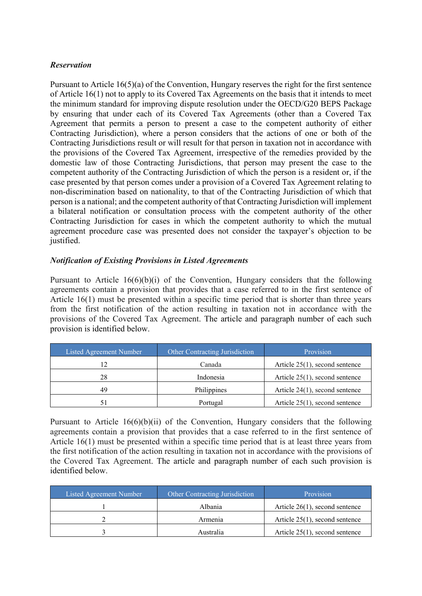## *Reservation*

Pursuant to Article 16(5)(a) of the Convention, Hungary reserves the right for the first sentence of Article 16(1) not to apply to its Covered Tax Agreements on the basis that it intends to meet the minimum standard for improving dispute resolution under the OECD/G20 BEPS Package by ensuring that under each of its Covered Tax Agreements (other than a Covered Tax Agreement that permits a person to present a case to the competent authority of either Contracting Jurisdiction), where a person considers that the actions of one or both of the Contracting Jurisdictions result or will result for that person in taxation not in accordance with the provisions of the Covered Tax Agreement, irrespective of the remedies provided by the domestic law of those Contracting Jurisdictions, that person may present the case to the competent authority of the Contracting Jurisdiction of which the person is a resident or, if the case presented by that person comes under a provision of a Covered Tax Agreement relating to non-discrimination based on nationality, to that of the Contracting Jurisdiction of which that person is a national; and the competent authority of that Contracting Jurisdiction will implement a bilateral notification or consultation process with the competent authority of the other Contracting Jurisdiction for cases in which the competent authority to which the mutual agreement procedure case was presented does not consider the taxpayer's objection to be justified.

# *Notification of Existing Provisions in Listed Agreements*

Pursuant to Article  $16(6)(b)(i)$  of the Convention, Hungary considers that the following agreements contain a provision that provides that a case referred to in the first sentence of Article 16(1) must be presented within a specific time period that is shorter than three years from the first notification of the action resulting in taxation not in accordance with the provisions of the Covered Tax Agreement. The article and paragraph number of each such provision is identified below.

| Listed Agreement Number | Other Contracting Jurisdiction | Provision                         |
|-------------------------|--------------------------------|-----------------------------------|
|                         | Canada                         | Article $25(1)$ , second sentence |
| 28                      | Indonesia                      | Article $25(1)$ , second sentence |
| 49                      | Philippines                    | Article $24(1)$ , second sentence |
| 51                      | Portugal                       | Article $25(1)$ , second sentence |

Pursuant to Article  $16(6)(b)(ii)$  of the Convention, Hungary considers that the following agreements contain a provision that provides that a case referred to in the first sentence of Article 16(1) must be presented within a specific time period that is at least three years from the first notification of the action resulting in taxation not in accordance with the provisions of the Covered Tax Agreement. The article and paragraph number of each such provision is identified below.

| Listed Agreement Number | Other Contracting Jurisdiction | Provision                         |
|-------------------------|--------------------------------|-----------------------------------|
|                         | Albania                        | Article $26(1)$ , second sentence |
|                         | Armenia                        | Article $25(1)$ , second sentence |
|                         | Australia                      | Article $25(1)$ , second sentence |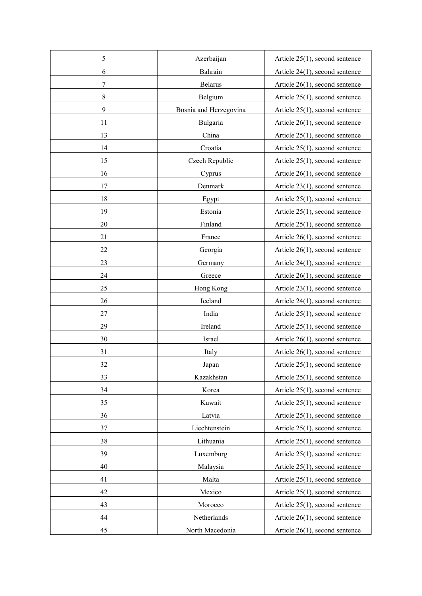| 5              | Azerbaijan             | Article $25(1)$ , second sentence |
|----------------|------------------------|-----------------------------------|
| 6              | Bahrain                | Article 24(1), second sentence    |
| $\overline{7}$ | Belarus                | Article $26(1)$ , second sentence |
| 8              | Belgium                | Article $25(1)$ , second sentence |
| 9              | Bosnia and Herzegovina | Article $25(1)$ , second sentence |
| 11             | Bulgaria               | Article $26(1)$ , second sentence |
| 13             | China                  | Article 25(1), second sentence    |
| 14             | Croatia                | Article $25(1)$ , second sentence |
| 15             | Czech Republic         | Article $25(1)$ , second sentence |
| 16             | Cyprus                 | Article $26(1)$ , second sentence |
| 17             | Denmark                | Article $23(1)$ , second sentence |
| 18             | Egypt                  | Article $25(1)$ , second sentence |
| 19             | Estonia                | Article $25(1)$ , second sentence |
| 20             | Finland                | Article $25(1)$ , second sentence |
| 21             | France                 | Article 26(1), second sentence    |
| 22             | Georgia                | Article $26(1)$ , second sentence |
| 23             | Germany                | Article $24(1)$ , second sentence |
| 24             | Greece                 | Article $26(1)$ , second sentence |
| 25             | Hong Kong              | Article $23(1)$ , second sentence |
| 26             | Iceland                | Article 24(1), second sentence    |
| 27             | India                  | Article 25(1), second sentence    |
| 29             | Ireland                | Article $25(1)$ , second sentence |
| 30             | Israel                 | Article $26(1)$ , second sentence |
| 31             | Italy                  | Article $26(1)$ , second sentence |
| 32             | Japan                  | Article $25(1)$ , second sentence |
| 33             | Kazakhstan             | Article 25(1), second sentence    |
| 34             | Korea                  | Article $25(1)$ , second sentence |
| 35             | Kuwait                 | Article $25(1)$ , second sentence |
| 36             | Latvia                 | Article $25(1)$ , second sentence |
| 37             | Liechtenstein          | Article $25(1)$ , second sentence |
| 38             | Lithuania              | Article 25(1), second sentence    |
| 39             | Luxemburg              | Article $25(1)$ , second sentence |
| 40             | Malaysia               | Article $25(1)$ , second sentence |
| 41             | Malta                  | Article $25(1)$ , second sentence |
| 42             | Mexico                 | Article $25(1)$ , second sentence |
| 43             | Morocco                | Article $25(1)$ , second sentence |
| 44             | Netherlands            | Article $26(1)$ , second sentence |
| 45             | North Macedonia        | Article 26(1), second sentence    |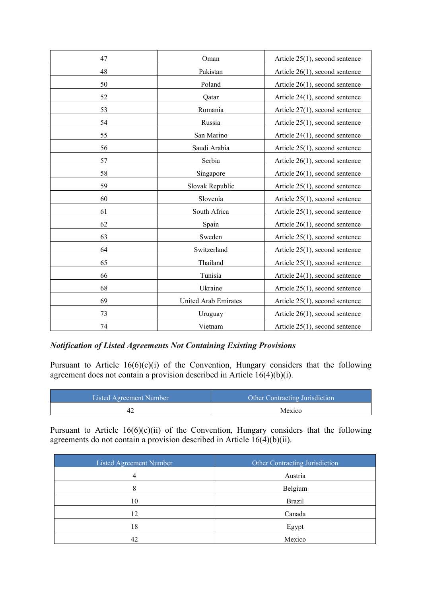| 47 | Oman                 | Article $25(1)$ , second sentence |
|----|----------------------|-----------------------------------|
| 48 | Pakistan             | Article $26(1)$ , second sentence |
| 50 | Poland               | Article $26(1)$ , second sentence |
| 52 | Qatar                | Article $24(1)$ , second sentence |
| 53 | Romania              | Article $27(1)$ , second sentence |
| 54 | Russia               | Article $25(1)$ , second sentence |
| 55 | San Marino           | Article $24(1)$ , second sentence |
| 56 | Saudi Arabia         | Article $25(1)$ , second sentence |
| 57 | Serbia               | Article $26(1)$ , second sentence |
| 58 | Singapore            | Article $26(1)$ , second sentence |
| 59 | Slovak Republic      | Article $25(1)$ , second sentence |
| 60 | Slovenia             | Article $25(1)$ , second sentence |
| 61 | South Africa         | Article $25(1)$ , second sentence |
| 62 | Spain                | Article $26(1)$ , second sentence |
| 63 | Sweden               | Article 25(1), second sentence    |
| 64 | Switzerland          | Article $25(1)$ , second sentence |
| 65 | Thailand             | Article $25(1)$ , second sentence |
| 66 | Tunisia              | Article 24(1), second sentence    |
| 68 | Ukraine              | Article $25(1)$ , second sentence |
| 69 | United Arab Emirates | Article $25(1)$ , second sentence |
| 73 | Uruguay              | Article $26(1)$ , second sentence |
| 74 | Vietnam              | Article $25(1)$ , second sentence |

#### *Notification of Listed Agreements Not Containing Existing Provisions*

Pursuant to Article 16(6)(c)(i) of the Convention, Hungary considers that the following agreement does not contain a provision described in Article  $16(4)(b)(i)$ .

| Listed Agreement Number | <b>Other Contracting Jurisdiction</b> |
|-------------------------|---------------------------------------|
|                         | Mexico                                |

Pursuant to Article  $16(6)(c)(ii)$  of the Convention, Hungary considers that the following agreements do not contain a provision described in Article  $16(4)(b)(ii)$ .

| Listed Agreement Number | Other Contracting Jurisdiction |
|-------------------------|--------------------------------|
| 4                       | Austria                        |
| o                       | Belgium                        |
| 10                      | <b>Brazil</b>                  |
| 12                      | Canada                         |
| 18                      | Egypt                          |
| 42                      | Mexico                         |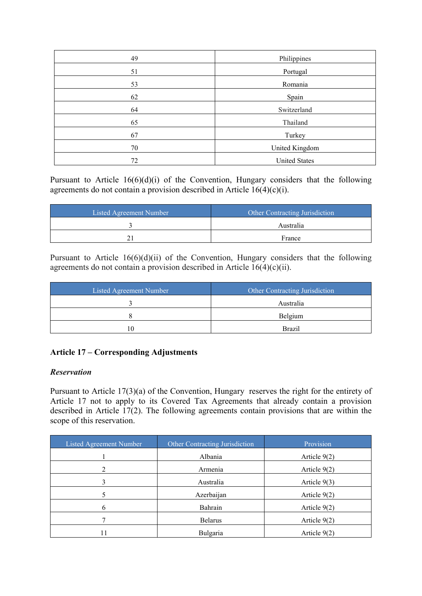| 49 | Philippines          |
|----|----------------------|
| 51 | Portugal             |
| 53 | Romania              |
| 62 | Spain                |
| 64 | Switzerland          |
| 65 | Thailand             |
| 67 | Turkey               |
| 70 | United Kingdom       |
| 72 | <b>United States</b> |

Pursuant to Article 16(6)(d)(i) of the Convention, Hungary considers that the following agreements do not contain a provision described in Article 16(4)(c)(i).

| Listed Agreement Number | Other Contracting Jurisdiction |
|-------------------------|--------------------------------|
|                         | Australia                      |
|                         | France                         |

Pursuant to Article 16(6)(d)(ii) of the Convention, Hungary considers that the following agreements do not contain a provision described in Article  $16(4)(c)(ii)$ .

| Listed Agreement Number | Other Contracting Jurisdiction |
|-------------------------|--------------------------------|
|                         | Australia                      |
|                         | Belgium                        |
|                         | <b>Brazil</b>                  |

# **Article 17 – Corresponding Adjustments**

## *Reservation*

Pursuant to Article 17(3)(a) of the Convention, Hungary reserves the right for the entirety of Article 17 not to apply to its Covered Tax Agreements that already contain a provision described in Article 17(2). The following agreements contain provisions that are within the scope of this reservation.

| Listed Agreement Number | Other Contracting Jurisdiction | Provision      |
|-------------------------|--------------------------------|----------------|
|                         | Albania                        | Article $9(2)$ |
|                         | Armenia                        | Article 9(2)   |
| 3                       | Australia                      | Article $9(3)$ |
|                         | Azerbaijan                     | Article $9(2)$ |
| 6                       | Bahrain                        | Article $9(2)$ |
|                         | <b>Belarus</b>                 | Article $9(2)$ |
| 11                      | Bulgaria                       | Article 9(2)   |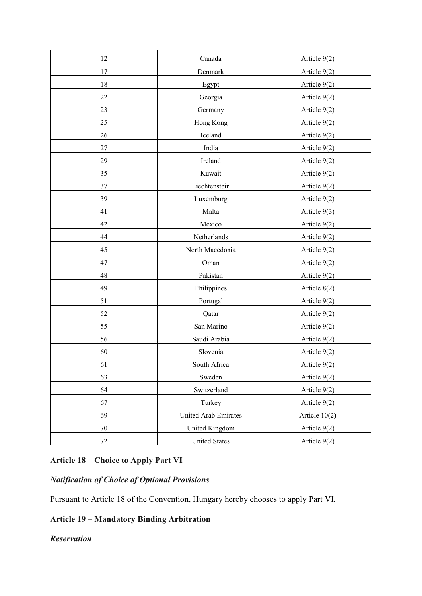| 12     | Canada               | Article 9(2)    |
|--------|----------------------|-----------------|
| 17     | Denmark              | Article 9(2)    |
| 18     | Egypt                | Article 9(2)    |
| 22     | Georgia              | Article $9(2)$  |
| 23     | Germany              | Article 9(2)    |
| 25     | Hong Kong            | Article $9(2)$  |
| 26     | Iceland              | Article 9(2)    |
| $27\,$ | India                | Article $9(2)$  |
| 29     | Ireland              | Article 9(2)    |
| 35     | Kuwait               | Article 9(2)    |
| 37     | Liechtenstein        | Article 9(2)    |
| 39     | Luxemburg            | Article 9(2)    |
| 41     | Malta                | Article 9(3)    |
| 42     | Mexico               | Article 9(2)    |
| 44     | Netherlands          | Article 9(2)    |
| 45     | North Macedonia      | Article 9(2)    |
| 47     | Oman                 | Article 9(2)    |
| 48     | Pakistan             | Article 9(2)    |
| 49     | Philippines          | Article 8(2)    |
| 51     | Portugal             | Article 9(2)    |
| 52     | Qatar                | Article 9(2)    |
| 55     | San Marino           | Article 9(2)    |
| 56     | Saudi Arabia         | Article 9(2)    |
| 60     | Slovenia             | Article $9(2)$  |
| 61     | South Africa         | Article 9(2)    |
| 63     | Sweden               | Article 9(2)    |
| 64     | Switzerland          | Article 9(2)    |
| 67     | Turkey               | Article 9(2)    |
| 69     | United Arab Emirates | Article $10(2)$ |
| $70\,$ | United Kingdom       | Article 9(2)    |
| $72\,$ | <b>United States</b> | Article 9(2)    |

# **Article 18 – Choice to Apply Part VI**

# *Notification of Choice of Optional Provisions*

Pursuant to Article 18 of the Convention, Hungary hereby chooses to apply Part VI.

# **Article 19 – Mandatory Binding Arbitration**

## *Reservation*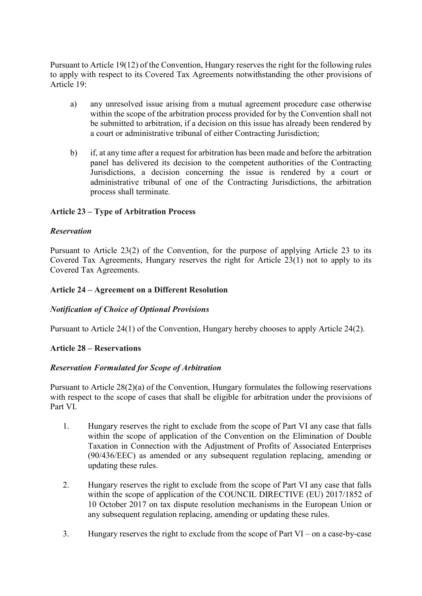Pursuant to Article 19(12) of the Convention, Hungary reserves the right for the following rules to apply with respect to its Covered Tax Agreements notwithstanding the other provisions of Article 19:

- a) any unresolved issue arising from a mutual agreement procedure case otherwise within the scope of the arbitration process provided for by the Convention shall not be submitted to arbitration, if a decision on this issue has already been rendered by a court or administrative tribunal of either Contracting Jurisdiction;
- b) if, at any time after a request for arbitration has been made and before the arbitration panel has delivered its decision to the competent authorities of the Contracting Jurisdictions, a decision concerning the issue is rendered by a court or administrative tribunal of one of the Contracting Jurisdictions, the arbitration process shall terminate.

# **Article 23 – Type of Arbitration Process**

## *Reservation*

Pursuant to Article 23(2) of the Convention, for the purpose of applying Article 23 to its Covered Tax Agreements, Hungary reserves the right for Article 23(1) not to apply to its Covered Tax Agreements.

## **Article 24 – Agreement on a Different Resolution**

## *Notification of Choice of Optional Provisions*

Pursuant to Article 24(1) of the Convention, Hungary hereby chooses to apply Article 24(2).

## **Article 28 – Reservations**

## *Reservation Formulated for Scope of Arbitration*

Pursuant to Article 28(2)(a) of the Convention, Hungary formulates the following reservations with respect to the scope of cases that shall be eligible for arbitration under the provisions of Part VI.

- 1. Hungary reserves the right to exclude from the scope of Part VI any case that falls within the scope of application of the Convention on the Elimination of Double Taxation in Connection with the Adjustment of Profits of Associated Enterprises (90/436/EEC) as amended or any subsequent regulation replacing, amending or updating these rules.
- 2. Hungary reserves the right to exclude from the scope of Part VI any case that falls within the scope of application of the COUNCIL DIRECTIVE (EU) 2017/1852 of 10 October 2017 on tax dispute resolution mechanisms in the European Union or any subsequent regulation replacing, amending or updating these rules.
- 3. Hungary reserves the right to exclude from the scope of Part VI on a case-by-case